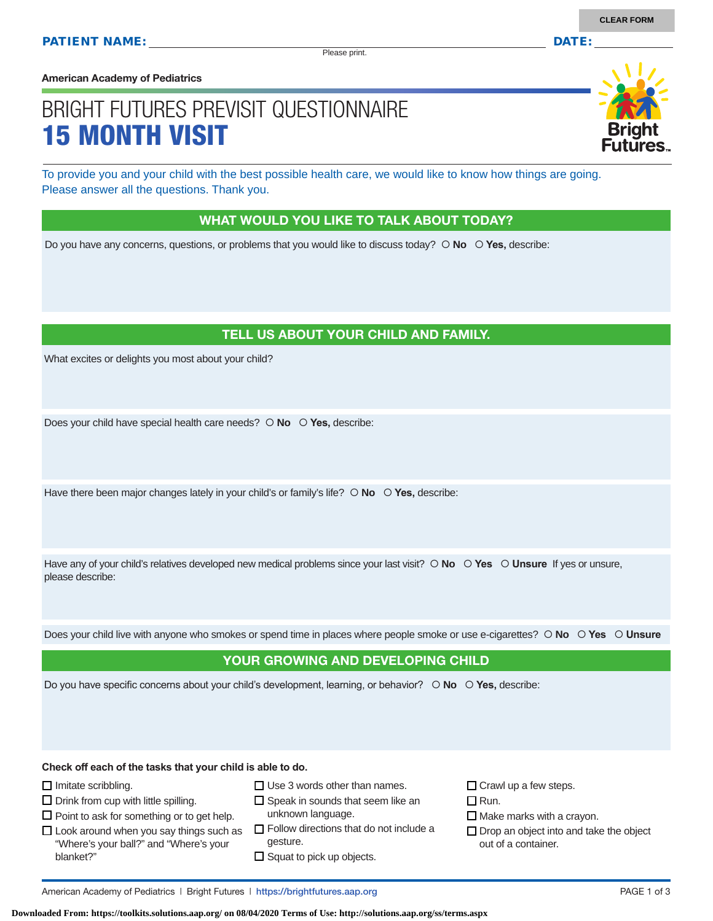Please print.

**American Academy of Pediatrics**

# BRIGHT FUTURES PREVISIT QUESTIONNAIRE 15 MONTH VISIT

To provide you and your child with the best possible health care, we would like to know how things are going. Please answer all the questions. Thank you.

#### WHAT WOULD YOU LIKE TO TALK ABOUT TODAY?

Do you have any concerns, questions, or problems that you would like to discuss today?  $\circ$  **No**  $\circ$  **Yes**, describe:

## TELL US ABOUT YOUR CHILD AND FAMILY.

What excites or delights you most about your child?

Does your child have special health care needs?  $\circ$  **No**  $\circ$  **Yes**, describe:

Have there been major changes lately in your child's or family's life?  $\circ$  No  $\circ$  Yes, describe:

Have any of your child's relatives developed new medical problems since your last visit?  $\circ$  **No**  $\circ$  **Yes**  $\circ$  **Unsure** If yes or unsure, please describe:

Does your child live with anyone who smokes or spend time in places where people smoke or use e-cigarettes?  **No Yes Unsure**

#### YOUR GROWING AND DEVELOPING CHILD

Do you have specific concerns about your child's development, learning, or behavior?  **No Yes,** describe:

**Check off each of the tasks that your child is able to do.**

 $\Box$  Imitate scribbling.

 $\square$  Drink from cup with little spilling.

 $\square$  Point to ask for something or to get help.

- $\square$  Use 3 words other than names.
- $\square$  Speak in sounds that seem like an unknown language.
- $\Box$  Look around when you say things such as "Where's your ball?" and "Where's your blanket?"
	- $\Box$  Follow directions that do not include a gesture.
	- $\square$  Squat to pick up objects.

 $\Box$  Crawl up a few steps.

 $\Box$  Run.

 $\Box$  Make marks with a crayon.

 $\Box$  Drop an object into and take the object out of a container.

American Academy of Pediatrics | Bright Futures | https://brightfutures.aap.org PAGE 1 of 3

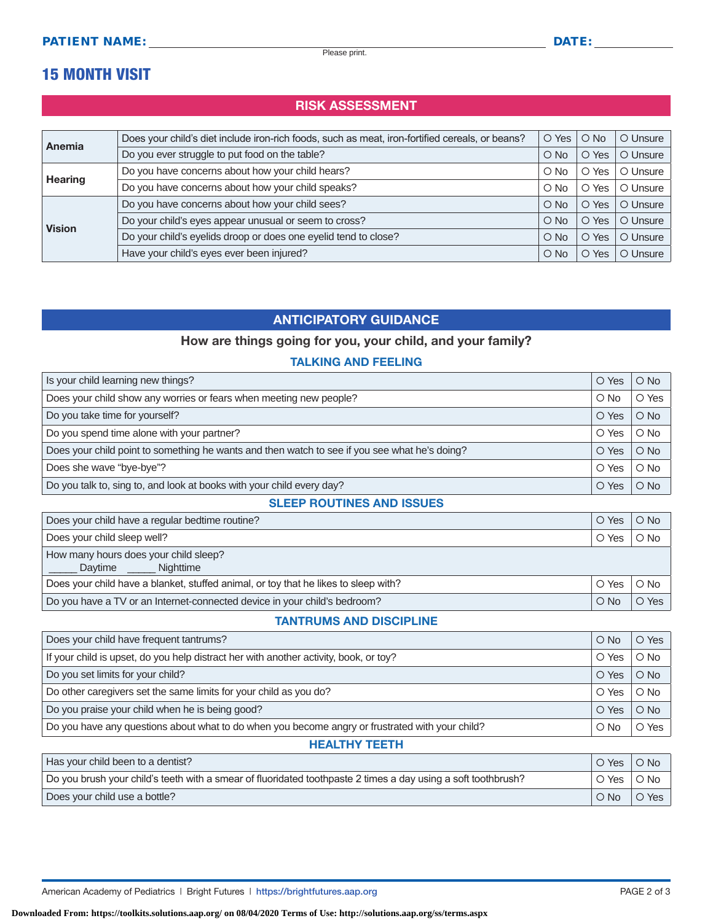Please print.

## 15 MONTH VISIT

## RISK ASSESSMENT

| Anemia         | Does your child's diet include iron-rich foods, such as meat, iron-fortified cereals, or beans? | $\circ$ Yes   | $\bigcirc$ No  | O Unsure |
|----------------|-------------------------------------------------------------------------------------------------|---------------|----------------|----------|
|                | Do you ever struggle to put food on the table?                                                  | $\circ$ No    | O Yes          | O Unsure |
| <b>Hearing</b> | Do you have concerns about how your child hears?                                                | $\circ$ No    | Yes<br>Ő       | O Unsure |
|                | Do you have concerns about how your child speaks?                                               | $\bigcirc$ No | Yes<br>$\circ$ | O Unsure |
| <b>Vision</b>  | Do you have concerns about how your child sees?                                                 | $\bigcirc$ No | Yes<br>$\circ$ | O Unsure |
|                | Do your child's eyes appear unusual or seem to cross?                                           | $\bigcirc$ No | O Yes          | O Unsure |
|                | Do your child's eyelids droop or does one eyelid tend to close?                                 | $\circ$ No    | Yes<br>$\circ$ | O Unsure |
|                | Have your child's eyes ever been injured?                                                       | $\circ$ No    | O Yes          | O Unsure |

## ANTICIPATORY GUIDANCE

## How are things going for you, your child, and your family?

### TALKING AND FEELING

| Is your child learning new things?                                                            |       | $\bigcirc$ No |
|-----------------------------------------------------------------------------------------------|-------|---------------|
| Does your child show any worries or fears when meeting new people?                            |       | O Yes         |
| Do you take time for yourself?                                                                | O Yes | $O$ No        |
| Do you spend time alone with your partner?                                                    | O Yes | $\bigcirc$ No |
| Does your child point to something he wants and then watch to see if you see what he's doing? | O Yes | $O$ No        |
| Does she wave "bye-bye"?                                                                      | O Yes | $\bigcirc$ No |
| Do you talk to, sing to, and look at books with your child every day?                         |       | $\bigcirc$ No |

#### SLEEP ROUTINES AND ISSUES

| Does your child have a regular bedtime routine?                                            | O Yes | $\bigcirc$ No |
|--------------------------------------------------------------------------------------------|-------|---------------|
| Does your child sleep well?                                                                | O Yes | $\circ$ No    |
| How many hours does your child sleep?<br>Daytime _______ Nighttime                         |       |               |
| Does your child have a blanket, stuffed animal, or toy that he likes to sleep with?        | O Yes | $\circ$ No    |
| Do you have a TV or an Internet-connected device in your child's bedroom?<br>$\bigcirc$ No |       | O Yes         |

### TANTRUMS AND DISCIPLINE

| Does your child have frequent tantrums?                                                         |       | $O$ Yes       |  |
|-------------------------------------------------------------------------------------------------|-------|---------------|--|
| If your child is upset, do you help distract her with another activity, book, or toy?           |       | $\circ$ No    |  |
| Do you set limits for your child?                                                               | O Yes | $O$ No        |  |
| Do other caregivers set the same limits for your child as you do?                               | O Yes | $\bigcirc$ No |  |
| Do you praise your child when he is being good?                                                 | O Yes | $\bigcirc$ No |  |
| Do you have any questions about what to do when you become angry or frustrated with your child? |       | O Yes         |  |
| <b>HEALTHY TEETH</b>                                                                            |       |               |  |

| Has your child been to a dentist?                                                                             | O Yes      | $\bigcirc$ No |
|---------------------------------------------------------------------------------------------------------------|------------|---------------|
| Do you brush your child's teeth with a smear of fluoridated toothpaste 2 times a day using a soft toothbrush? |            | O No          |
| Does your child use a bottle?                                                                                 | $\circ$ No | O Yes         |